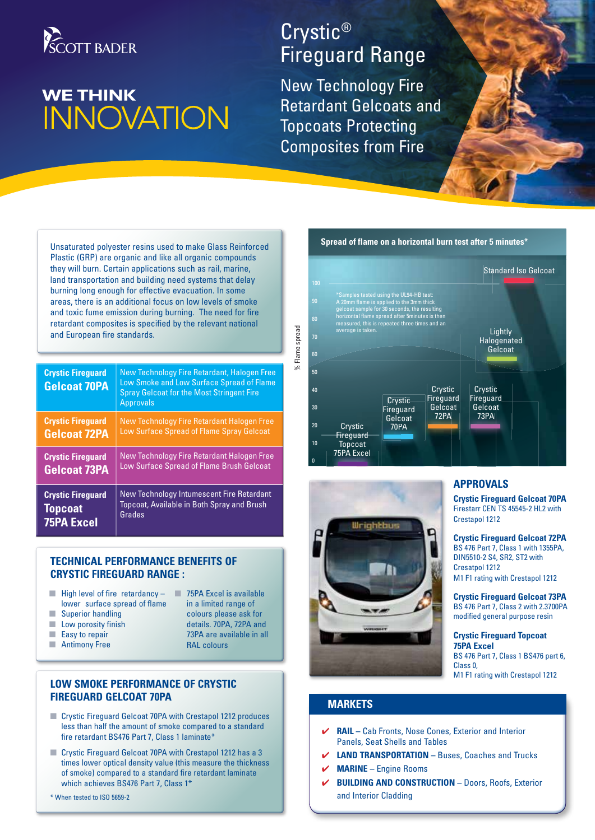

# **WE THINK INNOVATION**

## Crystic® Fireguard Range

New Technology Fire Retardant Gelcoats and Topcoats Protecting Composites from Fire

% Flame spread

Flame spread

 $\geq$ 

Unsaturated polyester resins used to make Glass Reinforced Plastic (GRP) are organic and like all organic compounds they will burn. Certain applications such as rail, marine, land transportation and building need systems that delay burning long enough for effective evacuation. In some areas, there is an additional focus on low levels of smoke and toxic fume emission during burning. The need for fire retardant composites is specified by the relevant national and European fire standards.

| <b>Crystic Firequard</b><br><b>Gelcoat 70PA</b> | New Technology Fire Retardant, Halogen Free<br>Low Smoke and Low Surface Spread of Flame<br><b>Spray Gelcoat for the Most Stringent Fire</b><br><b>Approvals</b> |
|-------------------------------------------------|------------------------------------------------------------------------------------------------------------------------------------------------------------------|
| <b>Crystic Firequard</b>                        | New Technology Fire Retardant Halogen Free                                                                                                                       |
| <b>Gelcoat 72PA</b>                             | Low Surface Spread of Flame Spray Gelcoat                                                                                                                        |
| <b>Crystic Firequard</b>                        | New Technology Fire Retardant Halogen Free                                                                                                                       |
| <b>Gelcoat 73PA</b>                             | Low Surface Spread of Flame Brush Gelcoat                                                                                                                        |
| <b>Crystic Firequard</b>                        | New Technology Intumescent Fire Retardant                                                                                                                        |
| <b>Topcoat</b>                                  | Topcoat, Available in Both Spray and Brush                                                                                                                       |
| <b>75PA Excel</b>                               | Grades                                                                                                                                                           |

#### **Technical performance benefits of Crystic Fireguard Range :**

- $\blacksquare$  High level of fire retardancy lower surface spread of flame
- **N** Superior handling
- $\blacksquare$  Low porosity finish
- $\blacksquare$  Easy to repair
- **Number** Antimony Free
- **n** 75PA Excel is available in a limited range of colours please ask for details. 70PA, 72PA and 73PA are available in all
	- RAL colours

#### **Low Smoke Performance of Crystic FIREGUARD GELCOAT 70PA**

- Crystic Fireguard Gelcoat 70PA with Crestapol 1212 produces less than half the amount of smoke compared to a standard fire retardant BS476 Part 7, Class 1 laminate\*
- Crystic Fireguard Gelcoat 70PA with Crestapol 1212 has a 3 times lower optical density value (this measure the thickness of smoke) compared to a standard fire retardant laminate which achieves BS476 Part 7, Class 1\*

\* When tested to ISO 5659-2

#### 80 70 60 <u>ፍር</u> 40 30 20 10 0 **Crystic** Fireguard **Gelcoat** 70PA 70P stic Fireguard<br>1997 - Fireguard Gelcoat<br>1998 - PAC<br>PACR **Fireguard** Gelcoat G<br>T2PA 72PA 73PA **Crystic** Fireguard Gelcoat Standard Iso Gelcoat<br>Lightly<br>Halogenated<br>Gelcoat<br>Crystic<br>Crystic Lightly Halogenated **Gelcoat** Crystic Fireguard **Topcoat** 75PA Excel \*Samples tested using the UL94-HB test:<br>A 20mm flame is applied to the 3mm thick<br>gelcoat sample for 30 seconds, the resulting<br>horizontal flame spread after 5minutes is then<br>measured, this is repeated three times and an<br>ave



#### **APPROVALS**

**Crystic Fireguard Gelcoat 70PA** Firestarr CEN TS 45545-2 HL2 with Crestapol 1212

**Crystic Fireguard Gelcoat 72PA** BS 476 Part 7, Class 1 with 1355PA, DIN5510-2 S4, SR2, ST2 with Cresatpol 1212 M1 F1 rating with Crestapol 1212

**Crystic Fireguard Gelcoat 73PA** BS 476 Part 7, Class 2 with 2.3700PA modified general purpose resin

#### **Crystic Fireguard Topcoat 75PA Excel**  BS 476 Part 7, Class 1 BS476 part 6, Class 0, M1 F1 rating with Crestapol 1212

### **MARKETS**

- 4 **Rail** Cab Fronts, Nose Cones, Exterior and Interior Panels, Seat Shells and Tables
- 4 **Land Transportation** Buses, Coaches and Trucks
- 4 **Marine** Engine Rooms
- 4 **Building and Construction** Doors, Roofs, Exterior and Interior Cladding

#### **Spread of flame on a horizontal burn test after 5 minutes\***